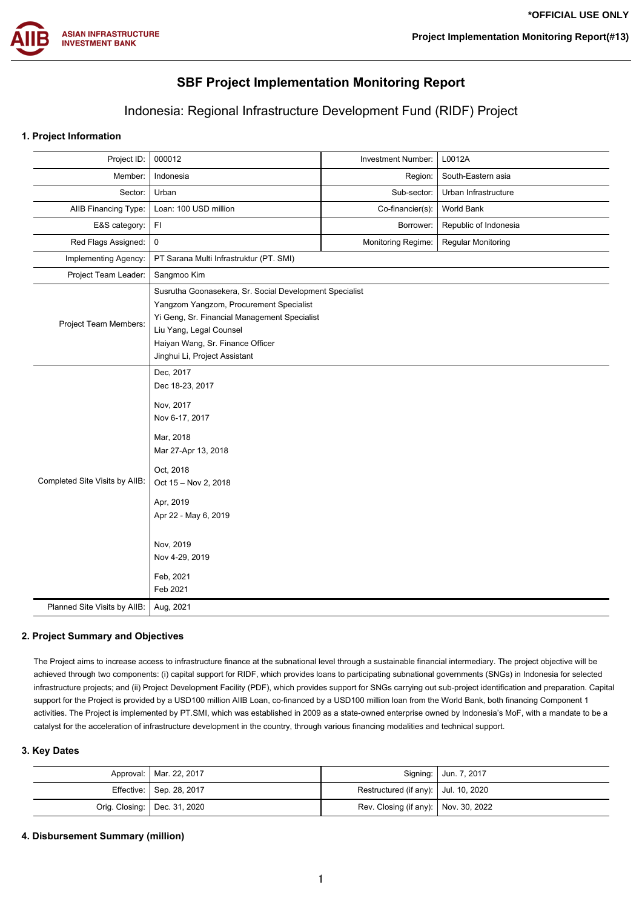

# **SBF Project Implementation Monitoring Report**

# Indonesia: Regional Infrastructure Development Fund (RIDF) Project

# **1. Project Information**

| Project ID:                    | 000012                                                                                                                                                                                                                                             | Investment Number: | L0012A                |  |  |
|--------------------------------|----------------------------------------------------------------------------------------------------------------------------------------------------------------------------------------------------------------------------------------------------|--------------------|-----------------------|--|--|
| Member:                        | Indonesia                                                                                                                                                                                                                                          | Region:            | South-Eastern asia    |  |  |
| Sector:                        | Urban                                                                                                                                                                                                                                              | Sub-sector:        | Urban Infrastructure  |  |  |
| AIIB Financing Type:           | Loan: 100 USD million                                                                                                                                                                                                                              | Co-financier(s):   | World Bank            |  |  |
| E&S category:                  | FI                                                                                                                                                                                                                                                 | Borrower:          | Republic of Indonesia |  |  |
| Red Flags Assigned:            | $\mathbf 0$                                                                                                                                                                                                                                        | Monitoring Regime: | Regular Monitoring    |  |  |
| Implementing Agency:           | PT Sarana Multi Infrastruktur (PT. SMI)                                                                                                                                                                                                            |                    |                       |  |  |
| Project Team Leader:           | Sangmoo Kim                                                                                                                                                                                                                                        |                    |                       |  |  |
| <b>Project Team Members:</b>   | Susrutha Goonasekera, Sr. Social Development Specialist<br>Yangzom Yangzom, Procurement Specialist<br>Yi Geng, Sr. Financial Management Specialist<br>Liu Yang, Legal Counsel<br>Haiyan Wang, Sr. Finance Officer<br>Jinghui Li, Project Assistant |                    |                       |  |  |
| Completed Site Visits by AIIB: | Dec, 2017<br>Dec 18-23, 2017<br>Nov, 2017<br>Nov 6-17, 2017<br>Mar, 2018<br>Mar 27-Apr 13, 2018<br>Oct, 2018<br>Oct 15 - Nov 2, 2018<br>Apr, 2019<br>Apr 22 - May 6, 2019<br>Nov, 2019<br>Nov 4-29, 2019<br>Feb, 2021<br>Feb 2021                  |                    |                       |  |  |
| Planned Site Visits by AIIB:   | Aug, 2021                                                                                                                                                                                                                                          |                    |                       |  |  |
|                                |                                                                                                                                                                                                                                                    |                    |                       |  |  |

# **2. Project Summary and Objectives**

The Project aims to increase access to infrastructure finance at the subnational level through a sustainable financial intermediary. The project objective will be achieved through two components: (i) capital support for RIDF, which provides loans to participating subnational governments (SNGs) in Indonesia for selected infrastructure projects; and (ii) Project Development Facility (PDF), which provides support for SNGs carrying out sub-project identification and preparation. Capital support for the Project is provided by a USD100 million AIIB Loan, co-financed by a USD100 million loan from the World Bank, both financing Component 1 activities. The Project is implemented by PT.SMI, which was established in 2009 as a state-owned enterprise owned by Indonesia's MoF, with a mandate to be a catalyst for the acceleration of infrastructure development in the country, through various financing modalities and technical support.

# **3. Key Dates**

| Approval:   Mar. 22, 2017      |                                        | Signing:   Jun. 7, 2017 |
|--------------------------------|----------------------------------------|-------------------------|
| Effective: Sep. 28, 2017       | Restructured (if any):   Jul. 10, 2020 |                         |
| Orig. Closing:   Dec. 31, 2020 | Rev. Closing (if any):   Nov. 30, 2022 |                         |

### **4. Disbursement Summary (million)**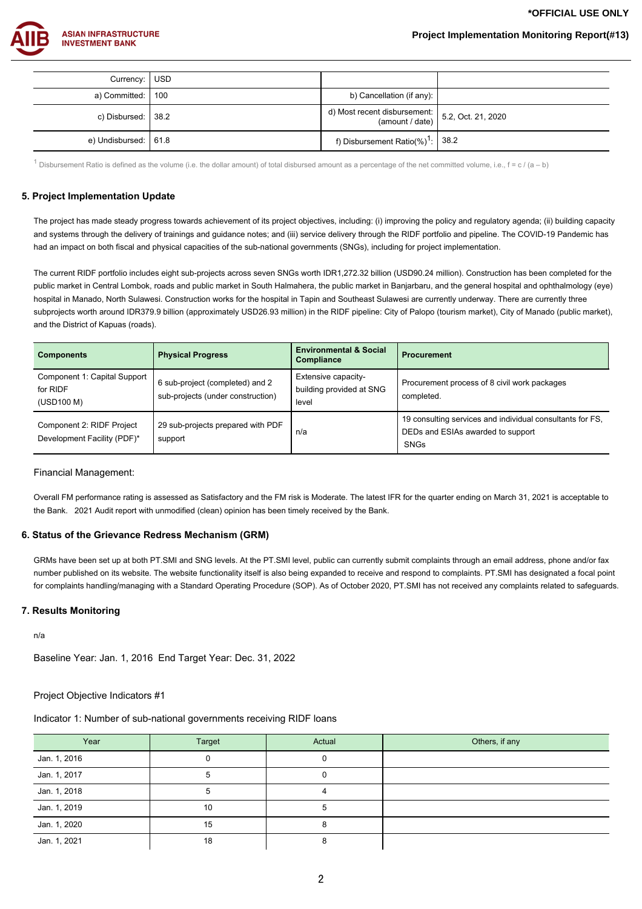**\*OFFICIAL USE ONLY**



| Currency: USD                |                                                                                                                      |  |
|------------------------------|----------------------------------------------------------------------------------------------------------------------|--|
| a) Committed: 100            | b) Cancellation (if any):                                                                                            |  |
| c) Disbursed: $ 38.2\rangle$ | d) Most recent disbursement: $\begin{bmatrix} 5.2, \text{Oct. 21, 2020} \\ 2.5, \text{ Oct. 21, 2020} \end{bmatrix}$ |  |
| e) Undisbursed:   61.8       | f) Disbursement Ratio(%) <sup>1</sup> : $ 38.2 $                                                                     |  |

1 Disbursement Ratio is defined as the volume (i.e. the dollar amount) of total disbursed amount as a percentage of the net committed volume, i.e.,  $f = c / (a - b)$ 

### **5. Project Implementation Update**

The project has made steady progress towards achievement of its project objectives, including: (i) improving the policy and regulatory agenda; (ii) building capacity and systems through the delivery of trainings and guidance notes; and (iii) service delivery through the RIDF portfolio and pipeline. The COVID-19 Pandemic has had an impact on both fiscal and physical capacities of the sub-national governments (SNGs), including for project implementation.

The current RIDF portfolio includes eight sub-projects across seven SNGs worth IDR1,272.32 billion (USD90.24 million). Construction has been completed for the public market in Central Lombok, roads and public market in South Halmahera, the public market in Banjarbaru, and the general hospital and ophthalmology (eye) hospital in Manado, North Sulawesi. Construction works for the hospital in Tapin and Southeast Sulawesi are currently underway. There are currently three subprojects worth around IDR379.9 billion (approximately USD26.93 million) in the RIDF pipeline: City of Palopo (tourism market), City of Manado (public market), and the District of Kapuas (roads).

| <b>Components</b>                                        | <b>Physical Progress</b>                                             | <b>Environmental &amp; Social</b><br>Compliance          | <b>Procurement</b>                                                                                     |
|----------------------------------------------------------|----------------------------------------------------------------------|----------------------------------------------------------|--------------------------------------------------------------------------------------------------------|
| Component 1: Capital Support<br>for RIDF<br>(USD100 M)   | 6 sub-project (completed) and 2<br>sub-projects (under construction) | Extensive capacity-<br>building provided at SNG<br>level | Procurement process of 8 civil work packages<br>completed.                                             |
| Component 2: RIDF Project<br>Development Facility (PDF)* | 29 sub-projects prepared with PDF<br>support                         | n/a                                                      | 19 consulting services and individual consultants for FS,<br>DEDs and ESIAs awarded to support<br>SNGs |

#### Financial Management:

Overall FM performance rating is assessed as Satisfactory and the FM risk is Moderate. The latest IFR for the quarter ending on March 31, 2021 is acceptable to the Bank. 2021 Audit report with unmodified (clean) opinion has been timely received by the Bank.

#### **6. Status of the Grievance Redress Mechanism (GRM)**

GRMs have been set up at both PT.SMI and SNG levels. At the PT.SMI level, public can currently submit complaints through an email address, phone and/or fax number published on its website. The website functionality itself is also being expanded to receive and respond to complaints. PT.SMI has designated a focal point for complaints handling/managing with a Standard Operating Procedure (SOP). As of October 2020, PT.SMI has not received any complaints related to safeguards.

#### **7. Results Monitoring**

n/a

Baseline Year: Jan. 1, 2016 End Target Year: Dec. 31, 2022

#### Project Objective Indicators #1

Indicator 1: Number of sub-national governments receiving RIDF loans

| Year         | Target | Actual | Others, if any |
|--------------|--------|--------|----------------|
| Jan. 1, 2016 |        |        |                |
| Jan. 1, 2017 |        |        |                |
| Jan. 1, 2018 |        |        |                |
| Jan. 1, 2019 | 10     |        |                |
| Jan. 1, 2020 | 15     |        |                |
| Jan. 1, 2021 | 18     |        |                |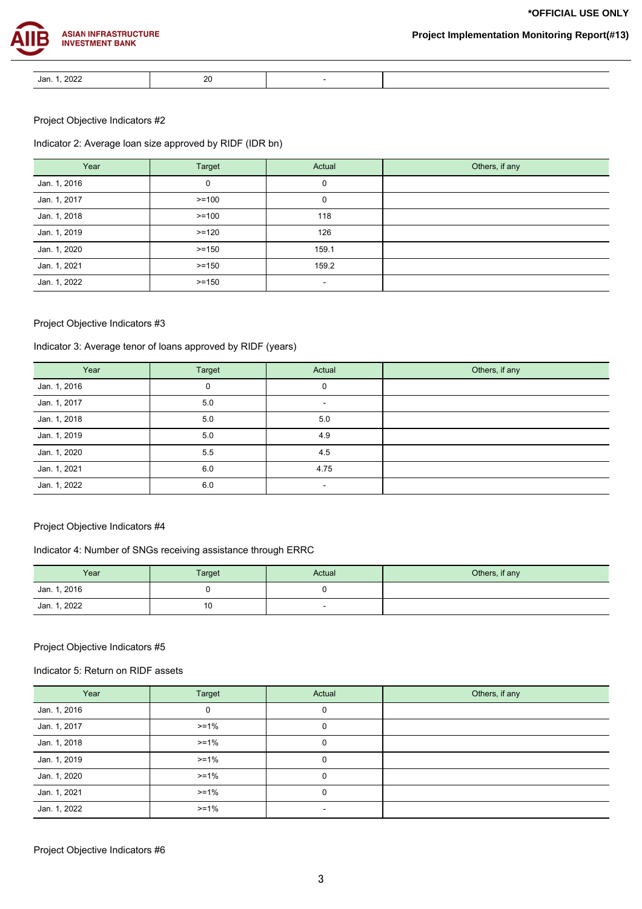**\*OFFICIAL USE ONLY**



# **Project Implementation Monitoring Report(#13)**

| 2022<br>or<br>van.<br>---- | oc<br>∠∪ |  |
|----------------------------|----------|--|

# Project Objective Indicators #2

# Indicator 2: Average loan size approved by RIDF (IDR bn)

| Year         | Target   | Actual | Others, if any |
|--------------|----------|--------|----------------|
| Jan. 1, 2016 | 0        | 0      |                |
| Jan. 1, 2017 | $>=100$  | 0      |                |
| Jan. 1, 2018 | $>=100$  | 118    |                |
| Jan. 1, 2019 | $>=120$  | 126    |                |
| Jan. 1, 2020 | $>=150$  | 159.1  |                |
| Jan. 1, 2021 | $>= 150$ | 159.2  |                |
| Jan. 1, 2022 | $>= 150$ | $\sim$ |                |

# Project Objective Indicators #3

# Indicator 3: Average tenor of loans approved by RIDF (years)

| Year         | Target | Actual | Others, if any |
|--------------|--------|--------|----------------|
| Jan. 1, 2016 | 0      | 0      |                |
| Jan. 1, 2017 | 5.0    | $\sim$ |                |
| Jan. 1, 2018 | 5.0    | 5.0    |                |
| Jan. 1, 2019 | 5.0    | 4.9    |                |
| Jan. 1, 2020 | 5.5    | 4.5    |                |
| Jan. 1, 2021 | 6.0    | 4.75   |                |
| Jan. 1, 2022 | 6.0    | $\sim$ |                |

# Project Objective Indicators #4

# Indicator 4: Number of SNGs receiving assistance through ERRC

| Year         | Target | Actual | Others, if any |
|--------------|--------|--------|----------------|
| Jan. 1, 2016 |        |        |                |
| Jan. 1, 2022 | 10     |        |                |

# Project Objective Indicators #5

# Indicator 5: Return on RIDF assets

| Year         | Target | Actual   | Others, if any |
|--------------|--------|----------|----------------|
| Jan. 1, 2016 | 0      | 0        |                |
| Jan. 1, 2017 | $>=1%$ | 0        |                |
| Jan. 1, 2018 | $>=1%$ | 0        |                |
| Jan. 1, 2019 | $>=1%$ | $\Omega$ |                |
| Jan. 1, 2020 | $>=1%$ | 0        |                |
| Jan. 1, 2021 | $>=1%$ | $\Omega$ |                |
| Jan. 1, 2022 | $>=1%$ |          |                |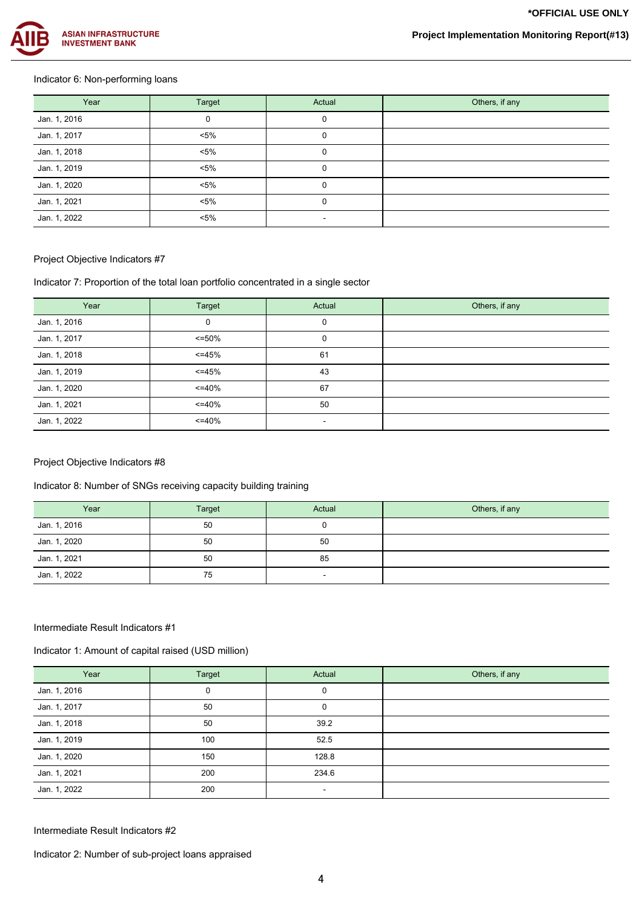

# Indicator 6: Non-performing loans

| Year         | Target  | Actual | Others, if any |
|--------------|---------|--------|----------------|
| Jan. 1, 2016 | 0       |        |                |
| Jan. 1, 2017 | $< 5\%$ |        |                |
| Jan. 1, 2018 | $< 5\%$ |        |                |
| Jan. 1, 2019 | $< 5\%$ |        |                |
| Jan. 1, 2020 | $< 5\%$ |        |                |
| Jan. 1, 2021 | $< 5\%$ |        |                |
| Jan. 1, 2022 | $< 5\%$ | ۰      |                |

# Project Objective Indicators #7

Indicator 7: Proportion of the total loan portfolio concentrated in a single sector

| Year         | Target       | Actual   | Others, if any |
|--------------|--------------|----------|----------------|
| Jan. 1, 2016 | 0            | $\Omega$ |                |
| Jan. 1, 2017 | $\leq$ = 50% | 0        |                |
| Jan. 1, 2018 | $<=45%$      | 61       |                |
| Jan. 1, 2019 | $<=45%$      | 43       |                |
| Jan. 1, 2020 | $\leq$ =40%  | 67       |                |
| Jan. 1, 2021 | $\leq$ =40%  | 50       |                |
| Jan. 1, 2022 | $\leq$ =40%  | ۰        |                |

# Project Objective Indicators #8

Indicator 8: Number of SNGs receiving capacity building training

| Year         | Target | Actual | Others, if any |
|--------------|--------|--------|----------------|
| Jan. 1, 2016 | 50     |        |                |
| Jan. 1, 2020 | 50     | 50     |                |
| Jan. 1, 2021 | 50     | 85     |                |
| Jan. 1, 2022 | 75     | $\sim$ |                |

# Intermediate Result Indicators #1

Indicator 1: Amount of capital raised (USD million)

| Year         | Target | Actual | Others, if any |
|--------------|--------|--------|----------------|
| Jan. 1, 2016 | 0      | 0      |                |
| Jan. 1, 2017 | 50     |        |                |
| Jan. 1, 2018 | 50     | 39.2   |                |
| Jan. 1, 2019 | 100    | 52.5   |                |
| Jan. 1, 2020 | 150    | 128.8  |                |
| Jan. 1, 2021 | 200    | 234.6  |                |
| Jan. 1, 2022 | 200    | $\sim$ |                |

Intermediate Result Indicators #2

Indicator 2: Number of sub-project loans appraised